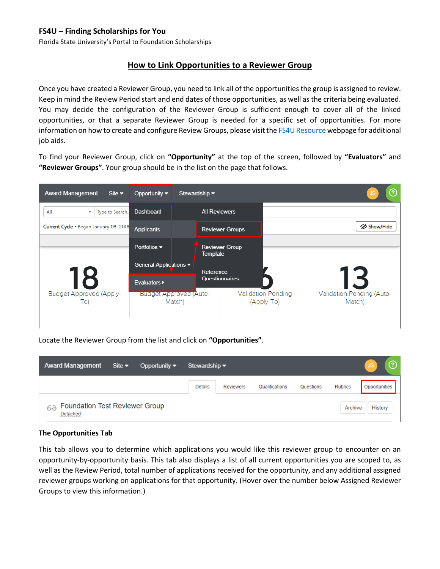## **FS4U – Finding Scholarships for You**

Florida State University's Portal to Foundation Scholarships

## **How to Link Opportunities to a Reviewer Group**

Once you have created a Reviewer Group, you need to link all of the opportunities the group is assigned to review. Keep in mind the Review Period start and end dates of those opportunities, as well as the criteria being evaluated. You may decide the configuration of the Reviewer Group is sufficient enough to cover all of the linked opportunities, or that a separate Reviewer Group is needed for a specific set of opportunities. For more information on how to create and configure Review Groups, please visit th[e FS4U Resource](https://foundation.fsu.edu/fs4u) webpage for additional job aids.

To find your Reviewer Group, click on **"Opportunity"** at the top of the screen, followed by **"Evaluators"** and **"Reviewer Groups"**. Your group should be in the list on the page that follows.



Locate the Reviewer Group from the list and click on **"Opportunities"**.

| <b>Award Management</b>                                 | Site $\blacktriangledown$ | Opportunity $\blacktriangledown$ | ?<br>Stewardship $\blacktriangleright$ |                  |                |           |                |                      |  |  |
|---------------------------------------------------------|---------------------------|----------------------------------|----------------------------------------|------------------|----------------|-----------|----------------|----------------------|--|--|
|                                                         |                           |                                  | <b>Details</b>                         | <b>Reviewers</b> | Qualifications | Questions | <b>Rubrics</b> | <b>Opportunities</b> |  |  |
| <b>Foundation Test Reviewer Group</b><br>62<br>Detached |                           |                                  |                                        |                  | Archive        | History   |                |                      |  |  |

## **The Opportunities Tab**

This tab allows you to determine which applications you would like this reviewer group to encounter on an opportunity-by-opportunity basis. This tab also displays a list of all current opportunities you are scoped to, as well as the Review Period, total number of applications received for the opportunity, and any additional assigned reviewer groups working on applications for that opportunity. (Hover over the number below Assigned Reviewer Groups to view this information.)